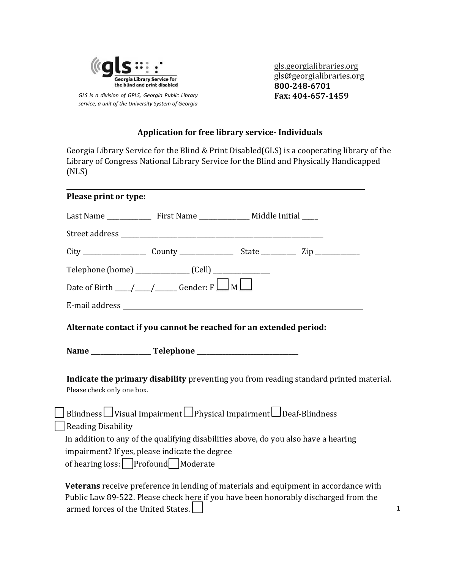

GLS is a division of GPLS, Georgia Public Library service, a unit of the University System of Georgia gls.georgialibraries.org gls@georgialibraries.org 800-248-6701 Fax: 404-657-1459

# **Application for free library service- Individuals**

Georgia Library Service for the Blind & Print Disabled(GLS) is a cooperating library of the Library of Congress National Library Service for the Blind and Physically Handicapped  $(NLS)$ 

| Please print or type:      |                                                                                                                                    |  |  |
|----------------------------|------------------------------------------------------------------------------------------------------------------------------------|--|--|
|                            |                                                                                                                                    |  |  |
|                            |                                                                                                                                    |  |  |
|                            |                                                                                                                                    |  |  |
|                            | Telephone (home) _________________ (Cell) ________________                                                                         |  |  |
|                            | Date of Birth $\_\_\_\_\_\_\_\_\_\_\_\$ Gender: F $\_\_\_\_\_\_\_\_\_\_\_\_\_\_\_\_\_\_\_\_\_\_\_\_\_\_\_\_\_\_$                   |  |  |
|                            |                                                                                                                                    |  |  |
|                            | Alternate contact if you cannot be reached for an extended period:                                                                 |  |  |
|                            |                                                                                                                                    |  |  |
| Please check only one box. | Indicate the primary disability preventing you from reading standard printed material                                              |  |  |
|                            | Blindness Visual Impairment Physical Impairment Deaf-Blindness                                                                     |  |  |
| <b>Reading Disability</b>  |                                                                                                                                    |  |  |
|                            | In addition to any of the qualifying disabilities above, do you also have a hearing                                                |  |  |
|                            | impairment? If yes, please indicate the degree<br>of hearing loss:    Profound   Moderate                                          |  |  |
|                            |                                                                                                                                    |  |  |
|                            | Veterans receive preference in lending of materials and equipment in accordance with<br>$111.7$ 00.500 $11.1$ $10.1$ $11.1$ $11.1$ |  |  |

Public Law 89-522. Please check here if you have been honorably discharged from the armed forces of the United States.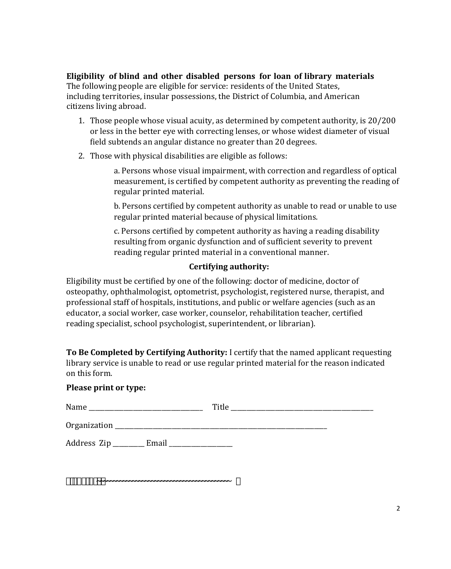Eligibility of blind and other disabled persons for loan of library materials The following people are eligible for service: residents of the United States, including territories, insular possessions, the District of Columbia, and American citizens living abroad.

- 1. Those people whose visual acuity, as determined by competent authority, is 20/200 or less in the better eye with correcting lenses, or whose widest diameter of visual field subtends an angular distance no greater than 20 degrees.
- 2. Those with physical disabilities are eligible as follows:

a. Persons whose visual impairment, with correction and regardless of optical measurement, is certified by competent authority as preventing the reading of regular printed material.

b. Persons certified by competent authority as unable to read or unable to use regular printed material because of physical limitations.

c. Persons certified by competent authority as having a reading disability resulting from organic dysfunction and of sufficient severity to prevent reading regular printed material in a conventional manner.

# Certifying authority:

Eligibility must be certified by one of the following: doctor of medicine, doctor of osteopathy, ophthalmologist, optometrist, psychologist, registered nurse, therapist, and professional staff of hospitals, institutions, and public or welfare agencies (such as an educator, a social worker, case worker, counselor, rehabilitation teacher, certified reading specialist, school psychologist, superintendent, or librarian).

To Be Completed by Certifying Authority: I certify that the named applicant requesting library service is unable to read or use regular printed material for the reason indicated on this form.

#### Please print or type:

Name Title

| Organization |  |  |
|--------------|--|--|
|--------------|--|--|

Address Zip \_\_\_\_\_\_\_\_\_ Email \_\_\_\_\_\_\_\_\_\_\_\_\_\_\_\_\_\_\_

 $4.75^{\circ}$  +  $\%$ .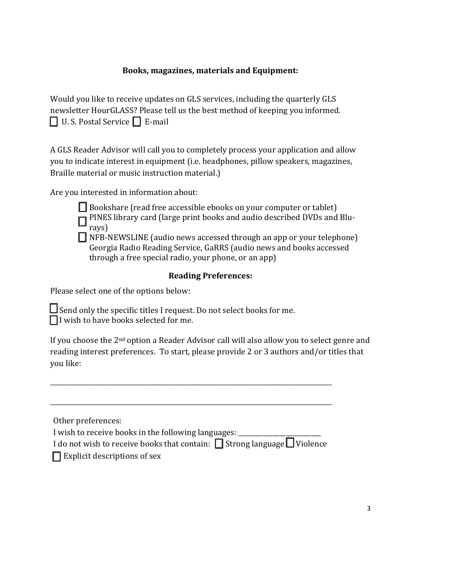# **Books, magazines, materials and Equipment:**

Would you like to receive updates on GLS services, including the quarterly GLS newsletter HourGLASS? Please tell us the best method of keeping you informed.  $\Box$  U.S. Postal Service  $\Box$  E-mail

A GLS Reader Advisor will call you to completely process your application and allow you to indicate interest in equipment (i.e. headphones, pillow speakers, magazines, Braille material or music instruction material.)

Are you interested in information about:

□ Bookshare (read free accessible ebooks on your computer or tablet) PINES library card (large print books and audio described DVDs and Blurays)

 $\Box$  NFB-NEWSLINE (audio news accessed through an app or your telephone) Georgia Radio Reading Service, GaRRS (audio news and books accessed through a free special radio, your phone, or an app)

# **Reading Preferences:**

Please select one of the options below:

 $\Box$  Send only the specific titles I request. Do not select books for me.  $\prod$ I wish to have books selected for me.

If you choose the 2<sup>nd</sup> option a Reader Advisor call will also allow you to select genre and reading interest preferences. To start, please provide 2 or 3 authors and/or titles that you like:

Other preferences:

I wish to receive books in the following languages:

I do not wish to receive books that contain:  $\Box$  Strong language  $\Box$  Violence

 $\Box$  Explicit descriptions of sex